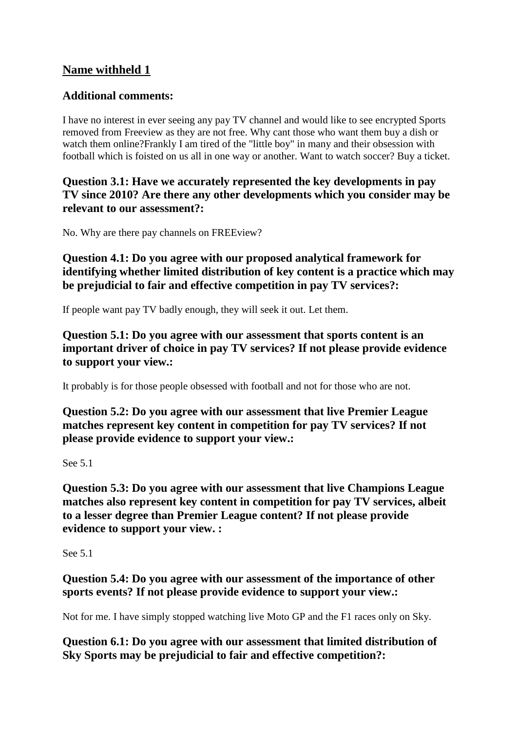## **Name withheld 1**

## **Additional comments:**

I have no interest in ever seeing any pay TV channel and would like to see encrypted Sports removed from Freeview as they are not free. Why cant those who want them buy a dish or watch them online?Frankly I am tired of the "little boy" in many and their obsession with football which is foisted on us all in one way or another. Want to watch soccer? Buy a ticket.

**Question 3.1: Have we accurately represented the key developments in pay TV since 2010? Are there any other developments which you consider may be relevant to our assessment?:**

No. Why are there pay channels on FREEview?

**Question 4.1: Do you agree with our proposed analytical framework for identifying whether limited distribution of key content is a practice which may be prejudicial to fair and effective competition in pay TV services?:**

If people want pay TV badly enough, they will seek it out. Let them.

**Question 5.1: Do you agree with our assessment that sports content is an important driver of choice in pay TV services? If not please provide evidence to support your view.:**

It probably is for those people obsessed with football and not for those who are not.

**Question 5.2: Do you agree with our assessment that live Premier League matches represent key content in competition for pay TV services? If not please provide evidence to support your view.:**

See 5.1

**Question 5.3: Do you agree with our assessment that live Champions League matches also represent key content in competition for pay TV services, albeit to a lesser degree than Premier League content? If not please provide evidence to support your view. :**

See 5.1

**Question 5.4: Do you agree with our assessment of the importance of other sports events? If not please provide evidence to support your view.:**

Not for me. I have simply stopped watching live Moto GP and the F1 races only on Sky.

**Question 6.1: Do you agree with our assessment that limited distribution of Sky Sports may be prejudicial to fair and effective competition?:**